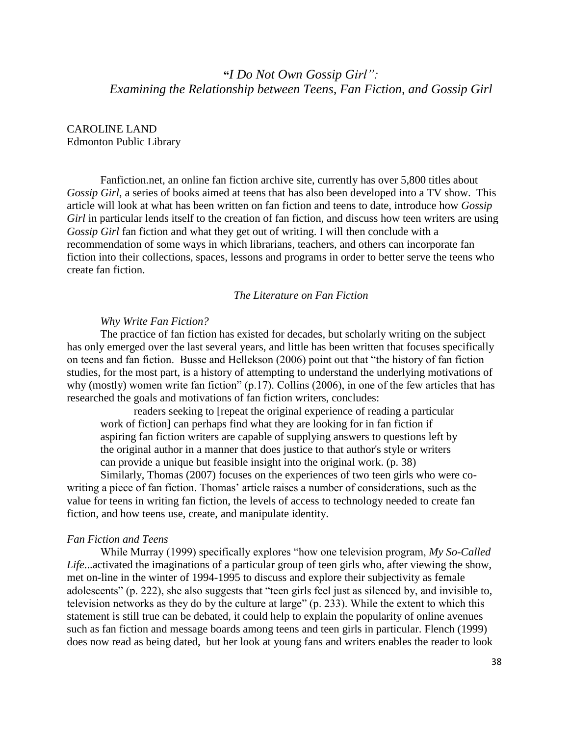# **"***I Do Not Own Gossip Girl": Examining the Relationship between Teens, Fan Fiction, and Gossip Girl*

# CAROLINE LAND Edmonton Public Library

Fanfiction.net, an online fan fiction archive site, currently has over 5,800 titles about *Gossip Girl*, a series of books aimed at teens that has also been developed into a TV show. This article will look at what has been written on fan fiction and teens to date, introduce how *Gossip Girl* in particular lends itself to the creation of fan fiction, and discuss how teen writers are using *Gossip Girl* fan fiction and what they get out of writing. I will then conclude with a recommendation of some ways in which librarians, teachers, and others can incorporate fan fiction into their collections, spaces, lessons and programs in order to better serve the teens who create fan fiction.

# *The Literature on Fan Fiction*

# *Why Write Fan Fiction?*

The practice of fan fiction has existed for decades, but scholarly writing on the subject has only emerged over the last several years, and little has been written that focuses specifically on teens and fan fiction. Busse and Hellekson (2006) point out that "the history of fan fiction studies, for the most part, is a history of attempting to understand the underlying motivations of why (mostly) women write fan fiction" (p.17). Collins (2006), in one of the few articles that has researched the goals and motivations of fan fiction writers, concludes:

readers seeking to [repeat the original experience of reading a particular work of fiction] can perhaps find what they are looking for in fan fiction if aspiring fan fiction writers are capable of supplying answers to questions left by the original author in a manner that does justice to that author's style or writers can provide a unique but feasible insight into the original work. (p. 38)

Similarly, Thomas (2007) focuses on the experiences of two teen girls who were cowriting a piece of fan fiction. Thomas' article raises a number of considerations, such as the value for teens in writing fan fiction, the levels of access to technology needed to create fan fiction, and how teens use, create, and manipulate identity.

### *Fan Fiction and Teens*

While Murray (1999) specifically explores "how one television program, *My So-Called Life*...activated the imaginations of a particular group of teen girls who, after viewing the show, met on-line in the winter of 1994-1995 to discuss and explore their subjectivity as female adolescents" (p. 222), she also suggests that "teen girls feel just as silenced by, and invisible to, television networks as they do by the culture at large" (p. 233). While the extent to which this statement is still true can be debated, it could help to explain the popularity of online avenues such as fan fiction and message boards among teens and teen girls in particular. Flench (1999) does now read as being dated, but her look at young fans and writers enables the reader to look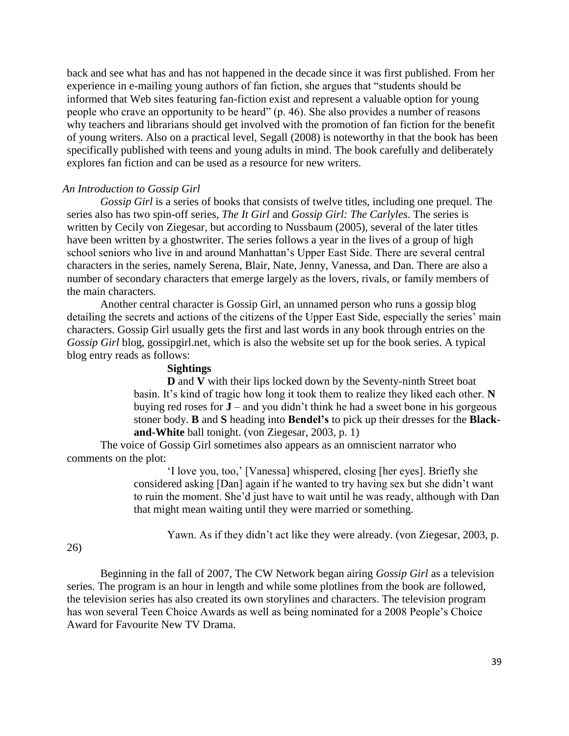back and see what has and has not happened in the decade since it was first published. From her experience in e-mailing young authors of fan fiction, she argues that "students should be informed that Web sites featuring fan-fiction exist and represent a valuable option for young people who crave an opportunity to be heard" (p. 46). She also provides a number of reasons why teachers and librarians should get involved with the promotion of fan fiction for the benefit of young writers. Also on a practical level, Segall (2008) is noteworthy in that the book has been specifically published with teens and young adults in mind. The book carefully and deliberately explores fan fiction and can be used as a resource for new writers.

# *An Introduction to Gossip Girl*

*Gossip Girl* is a series of books that consists of twelve titles, including one prequel. The series also has two spin-off series, *The It Girl* and *Gossip Girl: The Carlyles*. The series is written by Cecily von Ziegesar, but according to Nussbaum (2005), several of the later titles have been written by a ghostwriter. The series follows a year in the lives of a group of high school seniors who live in and around Manhattan"s Upper East Side. There are several central characters in the series, namely Serena, Blair, Nate, Jenny, Vanessa, and Dan. There are also a number of secondary characters that emerge largely as the lovers, rivals, or family members of the main characters.

Another central character is Gossip Girl, an unnamed person who runs a gossip blog detailing the secrets and actions of the citizens of the Upper East Side, especially the series' main characters. Gossip Girl usually gets the first and last words in any book through entries on the *Gossip Girl* blog, gossipgirl.net, which is also the website set up for the book series. A typical blog entry reads as follows:

# **Sightings**

**D** and **V** with their lips locked down by the Seventy-ninth Street boat basin. It"s kind of tragic how long it took them to realize they liked each other. **N** buying red roses for  $J$  – and you didn't think he had a sweet bone in his gorgeous stoner body. **B** and **S** heading into **Bendel's** to pick up their dresses for the **Blackand-White** ball tonight. (von Ziegesar, 2003, p. 1)

The voice of Gossip Girl sometimes also appears as an omniscient narrator who comments on the plot:

> "I love you, too," [Vanessa] whispered, closing [her eyes]. Briefly she considered asking [Dan] again if he wanted to try having sex but she didn"t want to ruin the moment. She"d just have to wait until he was ready, although with Dan that might mean waiting until they were married or something.

26)

Yawn. As if they didn't act like they were already. (von Ziegesar, 2003, p.

Beginning in the fall of 2007, The CW Network began airing *Gossip Girl* as a television series. The program is an hour in length and while some plotlines from the book are followed, the television series has also created its own storylines and characters. The television program has won several Teen Choice Awards as well as being nominated for a 2008 People"s Choice Award for Favourite New TV Drama.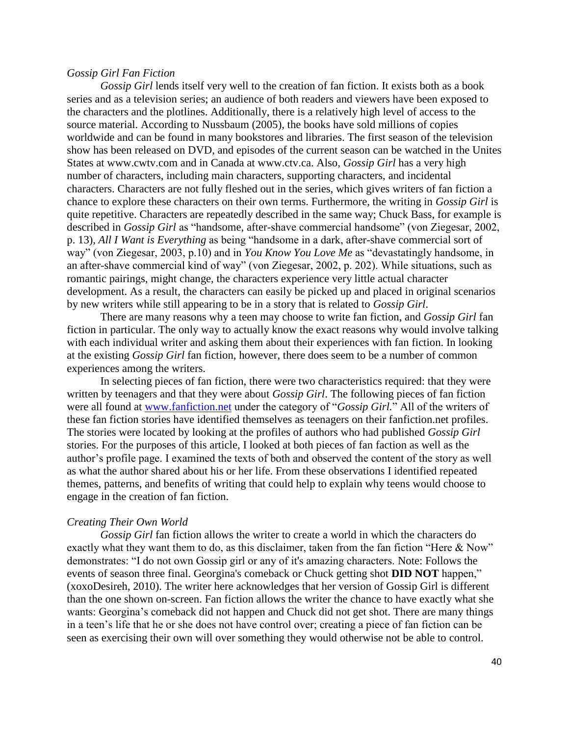#### *Gossip Girl Fan Fiction*

*Gossip Girl* lends itself very well to the creation of fan fiction. It exists both as a book series and as a television series; an audience of both readers and viewers have been exposed to the characters and the plotlines. Additionally, there is a relatively high level of access to the source material. According to Nussbaum (2005), the books have sold millions of copies worldwide and can be found in many bookstores and libraries. The first season of the television show has been released on DVD, and episodes of the current season can be watched in the Unites States at www.cwtv.com and in Canada at www.ctv.ca. Also, *Gossip Girl* has a very high number of characters, including main characters, supporting characters, and incidental characters. Characters are not fully fleshed out in the series, which gives writers of fan fiction a chance to explore these characters on their own terms. Furthermore, the writing in *Gossip Girl* is quite repetitive. Characters are repeatedly described in the same way; Chuck Bass, for example is described in *Gossip Girl* as "handsome, after-shave commercial handsome" (von Ziegesar, 2002, p. 13), *All I Want is Everything* as being "handsome in a dark, after-shave commercial sort of way" (von Ziegesar, 2003, p.10) and in *You Know You Love Me* as "devastatingly handsome, in an after-shave commercial kind of way" (von Ziegesar, 2002, p. 202). While situations, such as romantic pairings, might change, the characters experience very little actual character development. As a result, the characters can easily be picked up and placed in original scenarios by new writers while still appearing to be in a story that is related to *Gossip Girl*.

There are many reasons why a teen may choose to write fan fiction, and *Gossip Girl* fan fiction in particular. The only way to actually know the exact reasons why would involve talking with each individual writer and asking them about their experiences with fan fiction. In looking at the existing *Gossip Girl* fan fiction, however, there does seem to be a number of common experiences among the writers.

In selecting pieces of fan fiction, there were two characteristics required: that they were written by teenagers and that they were about *Gossip Girl*. The following pieces of fan fiction were all found at [www.fanfiction.net](http://www.fanfiction.net/) under the category of "*Gossip Girl.*" All of the writers of these fan fiction stories have identified themselves as teenagers on their fanfiction.net profiles. The stories were located by looking at the profiles of authors who had published *Gossip Girl* stories. For the purposes of this article, I looked at both pieces of fan faction as well as the author"s profile page. I examined the texts of both and observed the content of the story as well as what the author shared about his or her life. From these observations I identified repeated themes, patterns, and benefits of writing that could help to explain why teens would choose to engage in the creation of fan fiction.

# *Creating Their Own World*

*Gossip Girl* fan fiction allows the writer to create a world in which the characters do exactly what they want them to do, as this disclaimer, taken from the fan fiction "Here & Now" demonstrates: "I do not own Gossip girl or any of it's amazing characters. Note: Follows the events of season three final. Georgina's comeback or Chuck getting shot **DID NOT** happen," (xoxoDesireh, 2010). The writer here acknowledges that her version of Gossip Girl is different than the one shown on-screen. Fan fiction allows the writer the chance to have exactly what she wants: Georgina's comeback did not happen and Chuck did not get shot. There are many things in a teen"s life that he or she does not have control over; creating a piece of fan fiction can be seen as exercising their own will over something they would otherwise not be able to control.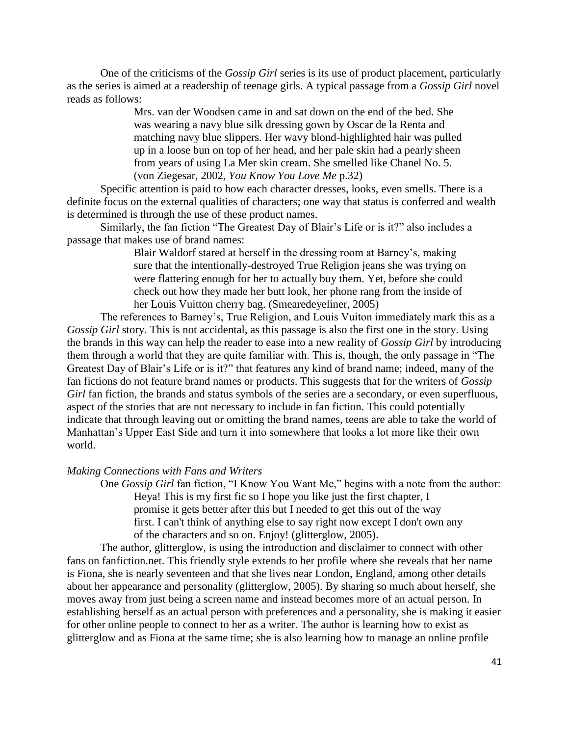One of the criticisms of the *Gossip Girl* series is its use of product placement, particularly as the series is aimed at a readership of teenage girls. A typical passage from a *Gossip Girl* novel reads as follows:

> Mrs. van der Woodsen came in and sat down on the end of the bed. She was wearing a navy blue silk dressing gown by Oscar de la Renta and matching navy blue slippers. Her wavy blond-highlighted hair was pulled up in a loose bun on top of her head, and her pale skin had a pearly sheen from years of using La Mer skin cream. She smelled like Chanel No. 5. (von Ziegesar, 2002, *You Know You Love Me* p.32)

Specific attention is paid to how each character dresses, looks, even smells. There is a definite focus on the external qualities of characters; one way that status is conferred and wealth is determined is through the use of these product names.

Similarly, the fan fiction "The Greatest Day of Blair"s Life or is it?" also includes a passage that makes use of brand names:

> Blair Waldorf stared at herself in the dressing room at Barney"s, making sure that the intentionally-destroyed True Religion jeans she was trying on were flattering enough for her to actually buy them. Yet, before she could check out how they made her butt look, her phone rang from the inside of her Louis Vuitton cherry bag. (Smearedeyeliner, 2005)

The references to Barney"s, True Religion, and Louis Vuiton immediately mark this as a *Gossip Girl* story. This is not accidental, as this passage is also the first one in the story. Using the brands in this way can help the reader to ease into a new reality of *Gossip Girl* by introducing them through a world that they are quite familiar with. This is, though, the only passage in "The Greatest Day of Blair"s Life or is it?" that features any kind of brand name; indeed, many of the fan fictions do not feature brand names or products. This suggests that for the writers of *Gossip Girl* fan fiction, the brands and status symbols of the series are a secondary, or even superfluous, aspect of the stories that are not necessary to include in fan fiction. This could potentially indicate that through leaving out or omitting the brand names, teens are able to take the world of Manhattan"s Upper East Side and turn it into somewhere that looks a lot more like their own world.

### *Making Connections with Fans and Writers*

One *Gossip Girl* fan fiction, "I Know You Want Me," begins with a note from the author: Heya! This is my first fic so I hope you like just the first chapter, I promise it gets better after this but I needed to get this out of the way first. I can't think of anything else to say right now except I don't own any of the characters and so on. Enjoy! (glitterglow, 2005).

The author, glitterglow, is using the introduction and disclaimer to connect with other fans on fanfiction.net. This friendly style extends to her profile where she reveals that her name is Fiona, she is nearly seventeen and that she lives near London, England, among other details about her appearance and personality (glitterglow, 2005). By sharing so much about herself, she moves away from just being a screen name and instead becomes more of an actual person. In establishing herself as an actual person with preferences and a personality, she is making it easier for other online people to connect to her as a writer. The author is learning how to exist as glitterglow and as Fiona at the same time; she is also learning how to manage an online profile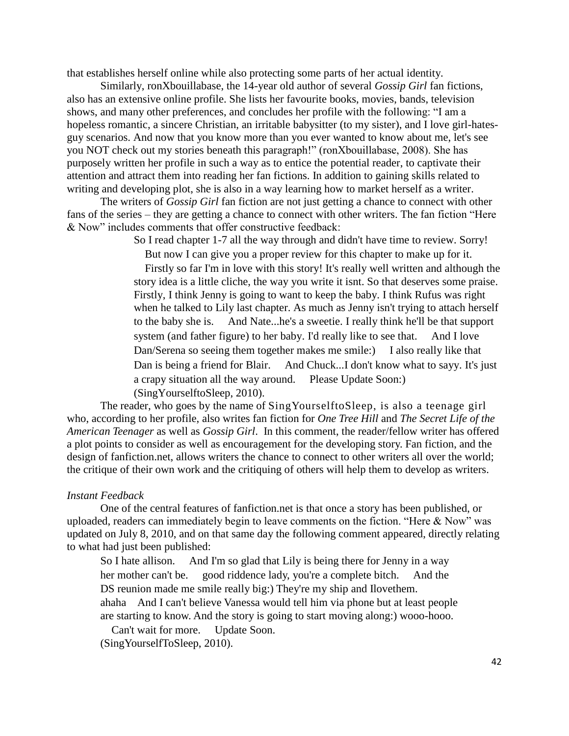that establishes herself online while also protecting some parts of her actual identity.

Similarly, ronXbouillabase, the 14-year old author of several *Gossip Girl* fan fictions, also has an extensive online profile. She lists her favourite books, movies, bands, television shows, and many other preferences, and concludes her profile with the following: "I am a hopeless romantic, a sincere Christian, an irritable babysitter (to my sister), and I love girl-hatesguy scenarios. And now that you know more than you ever wanted to know about me, let's see you NOT check out my stories beneath this paragraph!" (ronXbouillabase, 2008). She has purposely written her profile in such a way as to entice the potential reader, to captivate their attention and attract them into reading her fan fictions. In addition to gaining skills related to writing and developing plot, she is also in a way learning how to market herself as a writer.

The writers of *Gossip Girl* fan fiction are not just getting a chance to connect with other fans of the series – they are getting a chance to connect with other writers. The fan fiction "Here & Now" includes comments that offer constructive feedback:

So I read chapter 1-7 all the way through and didn't have time to review. Sorry!

But now I can give you a proper review for this chapter to make up for it. Firstly so far I'm in love with this story! It's really well written and although the story idea is a little cliche, the way you write it isnt. So that deserves some praise. Firstly, I think Jenny is going to want to keep the baby. I think Rufus was right when he talked to Lily last chapter. As much as Jenny isn't trying to attach herself to the baby she is. And Nate...he's a sweetie. I really think he'll be that support system (and father figure) to her baby. I'd really like to see that. And I love Dan/Serena so seeing them together makes me smile:) I also really like that Dan is being a friend for Blair. And Chuck...I don't know what to sayy. It's just a crapy situation all the way around. Please Update Soon:) (SingYourselftoSleep, 2010).

The reader, who goes by the name of SingYourselftoSleep, is also a teenage girl who, according to her profile, also writes fan fiction for *One Tree Hill* and *The Secret Life of the American Teenager* as well as *Gossip Girl*. In this comment, the reader/fellow writer has offered a plot points to consider as well as encouragement for the developing story. Fan fiction, and the design of fanfiction.net, allows writers the chance to connect to other writers all over the world; the critique of their own work and the critiquing of others will help them to develop as writers.

## *Instant Feedback*

One of the central features of fanfiction.net is that once a story has been published, or uploaded, readers can immediately begin to leave comments on the fiction. "Here & Now" was updated on July 8, 2010, and on that same day the following comment appeared, directly relating to what had just been published:

So I hate allison. And I'm so glad that Lily is being there for Jenny in a way her mother can't be. good riddence lady, you're a complete bitch. And the DS reunion made me smile really big:) They're my ship and Ilovethem. ahaha And I can't believe Vanessa would tell him via phone but at least people

are starting to know. And the story is going to start moving along:) wooo-hooo.

Can't wait for more. Update Soon. (SingYourselfToSleep, 2010).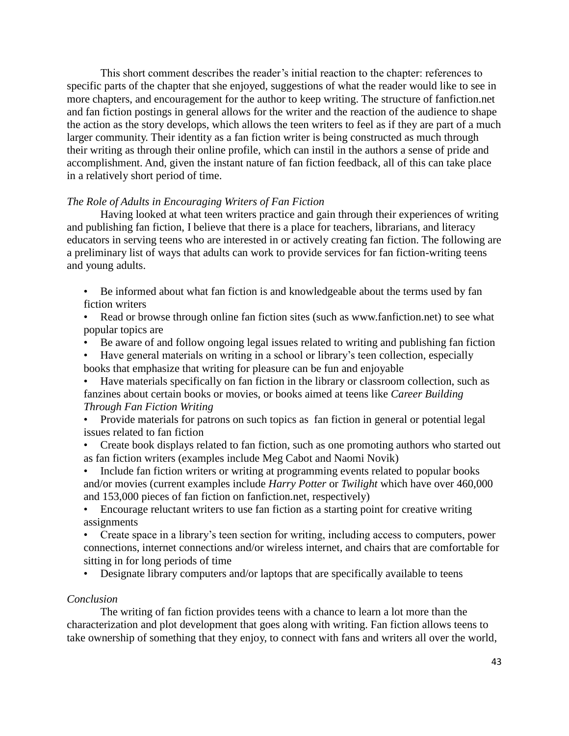This short comment describes the reader's initial reaction to the chapter: references to specific parts of the chapter that she enjoyed, suggestions of what the reader would like to see in more chapters, and encouragement for the author to keep writing. The structure of fanfiction.net and fan fiction postings in general allows for the writer and the reaction of the audience to shape the action as the story develops, which allows the teen writers to feel as if they are part of a much larger community. Their identity as a fan fiction writer is being constructed as much through their writing as through their online profile, which can instil in the authors a sense of pride and accomplishment. And, given the instant nature of fan fiction feedback, all of this can take place in a relatively short period of time.

# *The Role of Adults in Encouraging Writers of Fan Fiction*

Having looked at what teen writers practice and gain through their experiences of writing and publishing fan fiction, I believe that there is a place for teachers, librarians, and literacy educators in serving teens who are interested in or actively creating fan fiction. The following are a preliminary list of ways that adults can work to provide services for fan fiction-writing teens and young adults.

- Be informed about what fan fiction is and knowledgeable about the terms used by fan fiction writers
- Read or browse through online fan fiction sites (such as www.fanfiction.net) to see what popular topics are
- Be aware of and follow ongoing legal issues related to writing and publishing fan fiction
- Have general materials on writing in a school or library"s teen collection, especially books that emphasize that writing for pleasure can be fun and enjoyable

• Have materials specifically on fan fiction in the library or classroom collection, such as fanzines about certain books or movies, or books aimed at teens like *Career Building Through Fan Fiction Writing*

- Provide materials for patrons on such topics as fan fiction in general or potential legal issues related to fan fiction
- Create book displays related to fan fiction, such as one promoting authors who started out as fan fiction writers (examples include Meg Cabot and Naomi Novik)
- Include fan fiction writers or writing at programming events related to popular books and/or movies (current examples include *Harry Potter* or *Twilight* which have over 460,000 and 153,000 pieces of fan fiction on fanfiction.net, respectively)
- Encourage reluctant writers to use fan fiction as a starting point for creative writing assignments
- Create space in a library"s teen section for writing, including access to computers, power connections, internet connections and/or wireless internet, and chairs that are comfortable for sitting in for long periods of time
- Designate library computers and/or laptops that are specifically available to teens

# *Conclusion*

The writing of fan fiction provides teens with a chance to learn a lot more than the characterization and plot development that goes along with writing. Fan fiction allows teens to take ownership of something that they enjoy, to connect with fans and writers all over the world,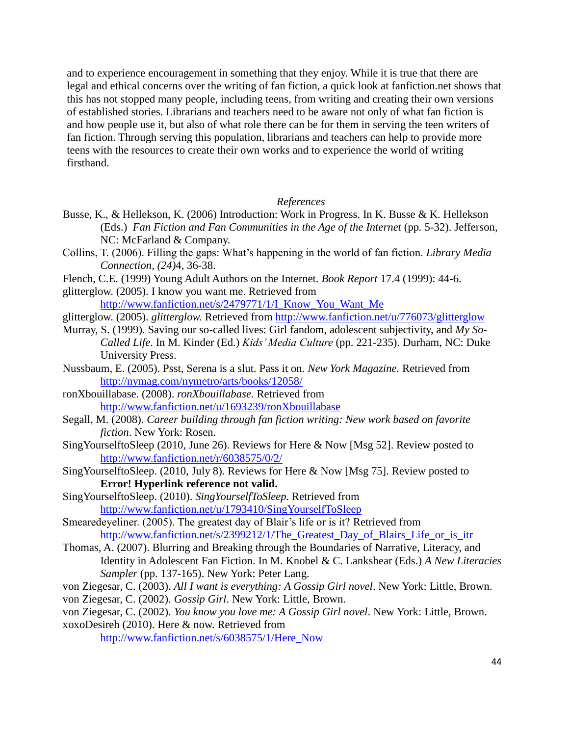and to experience encouragement in something that they enjoy. While it is true that there are legal and ethical concerns over the writing of fan fiction, a quick look at fanfiction.net shows that this has not stopped many people, including teens, from writing and creating their own versions of established stories. Librarians and teachers need to be aware not only of what fan fiction is and how people use it, but also of what role there can be for them in serving the teen writers of fan fiction. Through serving this population, librarians and teachers can help to provide more teens with the resources to create their own works and to experience the world of writing firsthand.

## *References*

- Busse, K., & Hellekson, K. (2006) Introduction: Work in Progress. In K. Busse & K. Hellekson (Eds.) *Fan Fiction and Fan Communities in the Age of the Internet* (pp*.* 5-32). Jefferson, NC: McFarland & Company.
- Collins, T. (2006). Filling the gaps: What"s happening in the world of fan fiction. *Library Media Connection, (24)*4, 36-38.
- Flench, C.E. (1999) Young Adult Authors on the Internet. *Book Report* 17.4 (1999): 44-6.
- glitterglow. (2005). I know you want me. Retrieved from

[http://www.fanfiction.net/s/2479771/1/I\\_Know\\_You\\_Want\\_Me](http://www.fanfiction.net/s/2479771/1/I_Know_You_Want_Me)

- glitterglow. (2005). *glitterglow.* Retrieved from<http://www.fanfiction.net/u/776073/glitterglow>
- Murray, S. (1999). Saving our so-called lives: Girl fandom, adolescent subjectivity, and *My So-Called Life*. In M. Kinder (Ed.) *Kids' Media Culture* (pp. 221-235). Durham, NC: Duke University Press.
- Nussbaum, E. (2005). Psst, Serena is a slut. Pass it on. *New York Magazine.* Retrieved from <http://nymag.com/nymetro/arts/books/12058/>
- ronXbouillabase. (2008). *ronXbouillabase.* Retrieved from <http://www.fanfiction.net/u/1693239/ronXbouillabase>
- Segall, M. (2008). *Career building through fan fiction writing: New work based on favorite fiction*. New York: Rosen.
- SingYourselftoSleep (2010, June 26). Reviews for Here & Now [Msg 52]. Review posted to <http://www.fanfiction.net/r/6038575/0/2/>
- SingYourselftoSleep. (2010, July 8). Reviews for Here & Now [Msg 75]. Review posted to **Error! Hyperlink reference not valid.**
- SingYourselftoSleep. (2010). *SingYourselfToSleep.* Retrieved from <http://www.fanfiction.net/u/1793410/SingYourselfToSleep>
- Smearedeveliner. (2005). The greatest day of Blair's life or is it? Retrieved from [http://www.fanfiction.net/s/2399212/1/The\\_Greatest\\_Day\\_of\\_Blairs\\_Life\\_or\\_is\\_itr](http://www.fanfiction.net/s/2399212/1/The_Greatest_Day_of_Blairs_Life_or_is_itr)
- Thomas, A. (2007). Blurring and Breaking through the Boundaries of Narrative, Literacy, and Identity in Adolescent Fan Fiction. In M. Knobel & C. Lankshear (Eds.) *A New Literacies Sampler* (pp. 137-165). New York: Peter Lang.
- von Ziegesar, C. (2003). *All I want is everything: A Gossip Girl novel*. New York: Little, Brown.
- von Ziegesar, C. (2002). *Gossip Girl*. New York: Little, Brown.

von Ziegesar, C. (2002). *You know you love me: A Gossip Girl novel*. New York: Little, Brown.

xoxoDesireh (2010). Here & now. Retrieved from

[http://www.fanfiction.net/s/6038575/1/Here\\_Now](http://www.fanfiction.net/s/6038575/1/Here_Now)